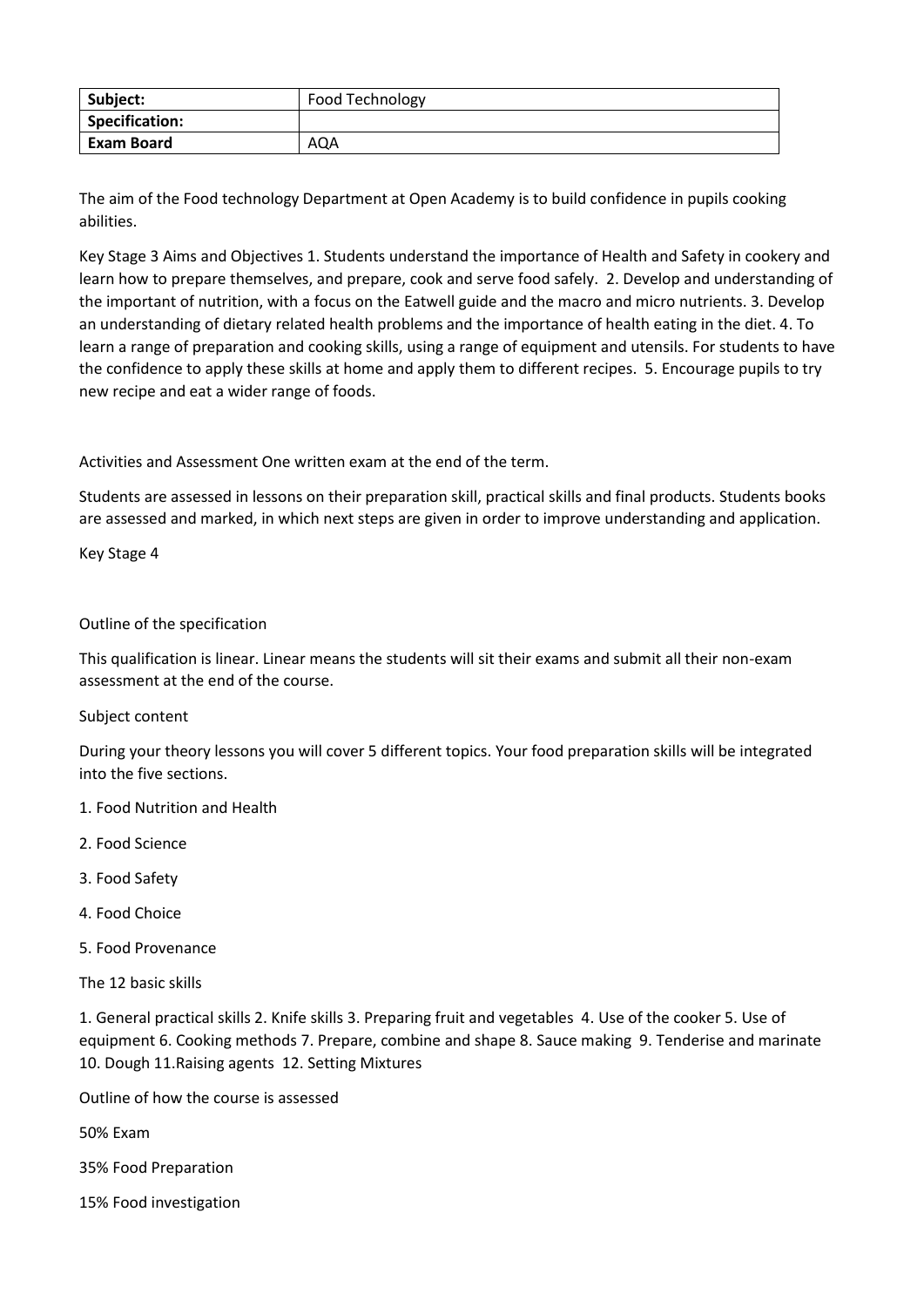| Subject:          | Food Technology |
|-------------------|-----------------|
| Specification:    |                 |
| <b>Exam Board</b> | AQA             |

The aim of the Food technology Department at Open Academy is to build confidence in pupils cooking abilities.

Key Stage 3 Aims and Objectives 1. Students understand the importance of Health and Safety in cookery and learn how to prepare themselves, and prepare, cook and serve food safely. 2. Develop and understanding of the important of nutrition, with a focus on the Eatwell guide and the macro and micro nutrients. 3. Develop an understanding of dietary related health problems and the importance of health eating in the diet. 4. To learn a range of preparation and cooking skills, using a range of equipment and utensils. For students to have the confidence to apply these skills at home and apply them to different recipes. 5. Encourage pupils to try new recipe and eat a wider range of foods.

Activities and Assessment One written exam at the end of the term.

Students are assessed in lessons on their preparation skill, practical skills and final products. Students books are assessed and marked, in which next steps are given in order to improve understanding and application.

Key Stage 4

## Outline of the specification

This qualification is linear. Linear means the students will sit their exams and submit all their non-exam assessment at the end of the course.

## Subject content

During your theory lessons you will cover 5 different topics. Your food preparation skills will be integrated into the five sections.

- 1. Food Nutrition and Health
- 2. Food Science
- 3. Food Safety
- 4. Food Choice
- 5. Food Provenance

The 12 basic skills

1. General practical skills 2. Knife skills 3. Preparing fruit and vegetables 4. Use of the cooker 5. Use of equipment 6. Cooking methods 7. Prepare, combine and shape 8. Sauce making 9. Tenderise and marinate 10. Dough 11.Raising agents 12. Setting Mixtures

Outline of how the course is assessed

50% Exam

35% Food Preparation

15% Food investigation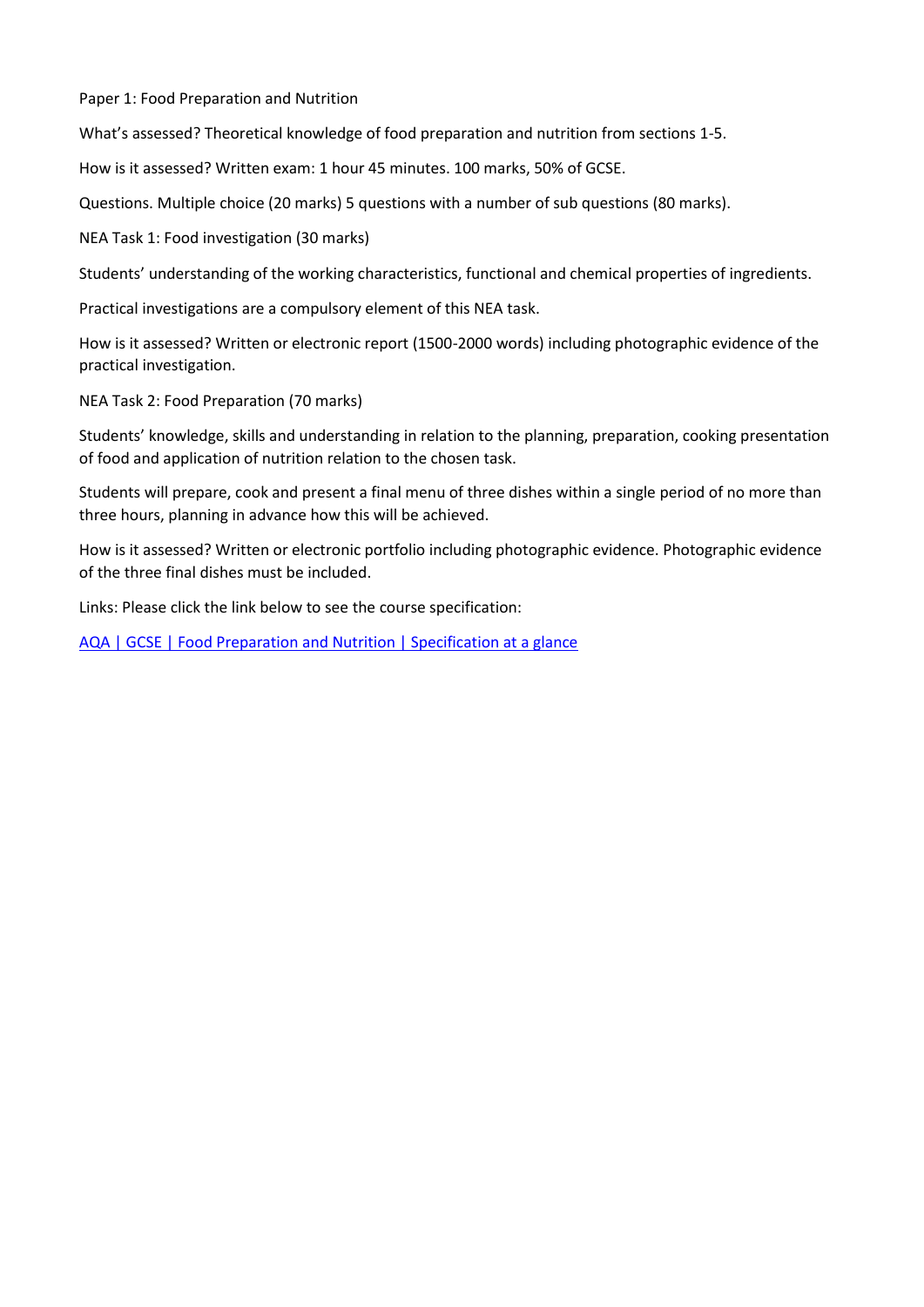Paper 1: Food Preparation and Nutrition

What's assessed? Theoretical knowledge of food preparation and nutrition from sections 1-5.

How is it assessed? Written exam: 1 hour 45 minutes. 100 marks, 50% of GCSE.

Questions. Multiple choice (20 marks) 5 questions with a number of sub questions (80 marks).

NEA Task 1: Food investigation (30 marks)

Students' understanding of the working characteristics, functional and chemical properties of ingredients.

Practical investigations are a compulsory element of this NEA task.

How is it assessed? Written or electronic report (1500-2000 words) including photographic evidence of the practical investigation.

NEA Task 2: Food Preparation (70 marks)

Students' knowledge, skills and understanding in relation to the planning, preparation, cooking presentation of food and application of nutrition relation to the chosen task.

Students will prepare, cook and present a final menu of three dishes within a single period of no more than three hours, planning in advance how this will be achieved.

How is it assessed? Written or electronic portfolio including photographic evidence. Photographic evidence of the three final dishes must be included.

Links: Please click the link below to see the course specification:

[AQA | GCSE | Food Preparation and Nutrition | Specification at a glance](https://www.aqa.org.uk/subjects/food/gcse/food-preparation-and-nutrition-8585/specification-at-a-glance)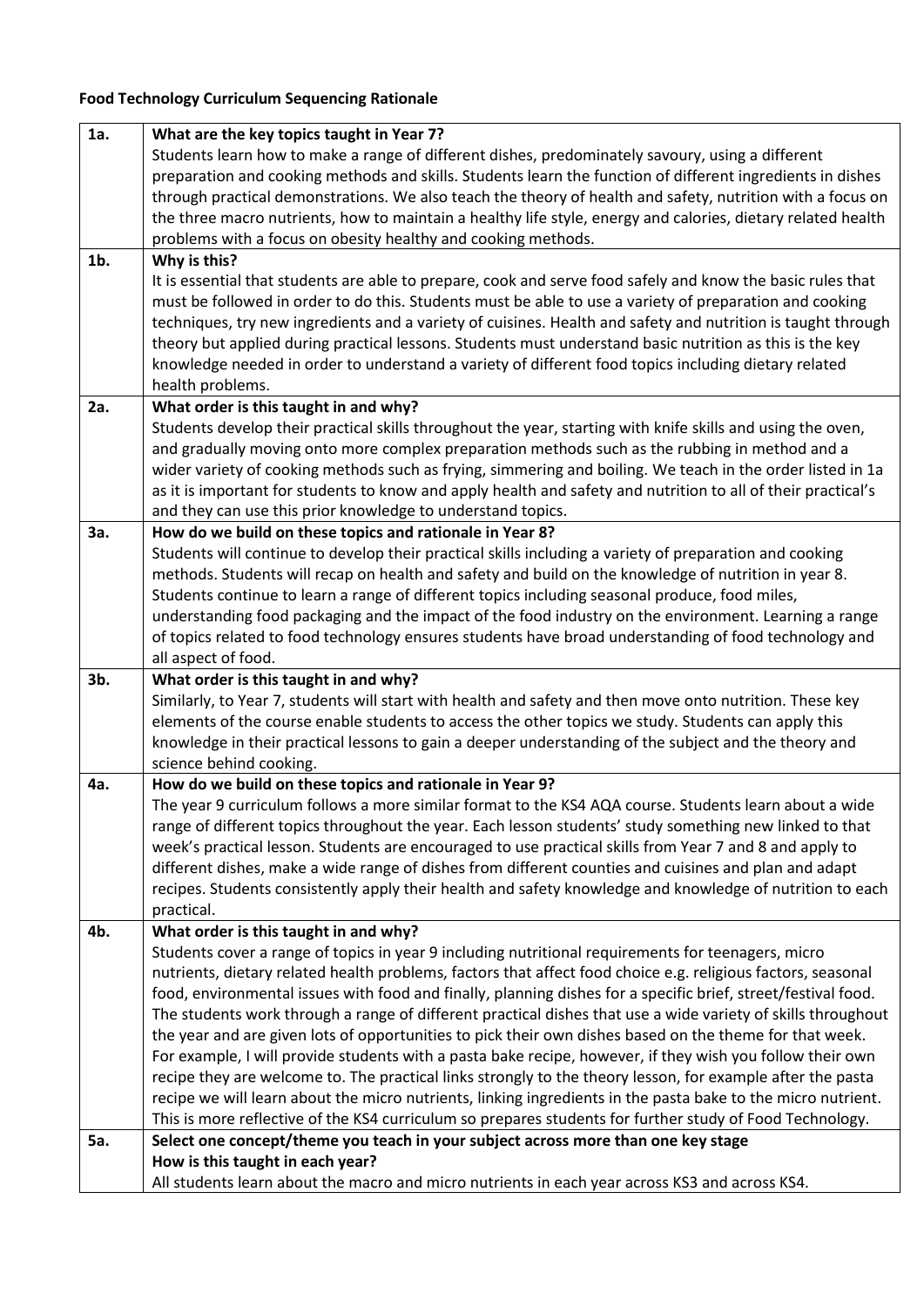## **Food Technology Curriculum Sequencing Rationale**

| 1a.        | What are the key topics taught in Year 7?                                                                               |
|------------|-------------------------------------------------------------------------------------------------------------------------|
|            | Students learn how to make a range of different dishes, predominately savoury, using a different                        |
|            | preparation and cooking methods and skills. Students learn the function of different ingredients in dishes              |
|            | through practical demonstrations. We also teach the theory of health and safety, nutrition with a focus on              |
|            | the three macro nutrients, how to maintain a healthy life style, energy and calories, dietary related health            |
|            | problems with a focus on obesity healthy and cooking methods.                                                           |
| $1b$ .     | Why is this?                                                                                                            |
|            | It is essential that students are able to prepare, cook and serve food safely and know the basic rules that             |
|            | must be followed in order to do this. Students must be able to use a variety of preparation and cooking                 |
|            | techniques, try new ingredients and a variety of cuisines. Health and safety and nutrition is taught through            |
|            | theory but applied during practical lessons. Students must understand basic nutrition as this is the key                |
|            | knowledge needed in order to understand a variety of different food topics including dietary related                    |
|            | health problems.                                                                                                        |
| 2a.        | What order is this taught in and why?                                                                                   |
|            | Students develop their practical skills throughout the year, starting with knife skills and using the oven,             |
|            | and gradually moving onto more complex preparation methods such as the rubbing in method and a                          |
|            | wider variety of cooking methods such as frying, simmering and boiling. We teach in the order listed in 1a              |
|            | as it is important for students to know and apply health and safety and nutrition to all of their practical's           |
|            | and they can use this prior knowledge to understand topics.                                                             |
| 3a.        | How do we build on these topics and rationale in Year 8?                                                                |
|            | Students will continue to develop their practical skills including a variety of preparation and cooking                 |
|            | methods. Students will recap on health and safety and build on the knowledge of nutrition in year 8.                    |
|            | Students continue to learn a range of different topics including seasonal produce, food miles,                          |
|            | understanding food packaging and the impact of the food industry on the environment. Learning a range                   |
|            | of topics related to food technology ensures students have broad understanding of food technology and                   |
|            | all aspect of food.                                                                                                     |
| 3b.        | What order is this taught in and why?                                                                                   |
|            | Similarly, to Year 7, students will start with health and safety and then move onto nutrition. These key                |
|            | elements of the course enable students to access the other topics we study. Students can apply this                     |
|            | knowledge in their practical lessons to gain a deeper understanding of the subject and the theory and                   |
|            | science behind cooking.                                                                                                 |
| 4a.        | How do we build on these topics and rationale in Year 9?                                                                |
|            | The year 9 curriculum follows a more similar format to the KS4 AQA course. Students learn about a wide                  |
|            | range of different topics throughout the year. Each lesson students' study something new linked to that                 |
|            | week's practical lesson. Students are encouraged to use practical skills from Year 7 and 8 and apply to                 |
|            | different dishes, make a wide range of dishes from different counties and cuisines and plan and adapt                   |
|            | recipes. Students consistently apply their health and safety knowledge and knowledge of nutrition to each<br>practical. |
| 4b.        | What order is this taught in and why?                                                                                   |
|            | Students cover a range of topics in year 9 including nutritional requirements for teenagers, micro                      |
|            | nutrients, dietary related health problems, factors that affect food choice e.g. religious factors, seasonal            |
|            | food, environmental issues with food and finally, planning dishes for a specific brief, street/festival food.           |
|            | The students work through a range of different practical dishes that use a wide variety of skills throughout            |
|            | the year and are given lots of opportunities to pick their own dishes based on the theme for that week.                 |
|            | For example, I will provide students with a pasta bake recipe, however, if they wish you follow their own               |
|            | recipe they are welcome to. The practical links strongly to the theory lesson, for example after the pasta              |
|            | recipe we will learn about the micro nutrients, linking ingredients in the pasta bake to the micro nutrient.            |
|            | This is more reflective of the KS4 curriculum so prepares students for further study of Food Technology.                |
| <b>5a.</b> | Select one concept/theme you teach in your subject across more than one key stage                                       |
|            | How is this taught in each year?                                                                                        |
|            | All students learn about the macro and micro nutrients in each year across KS3 and across KS4.                          |